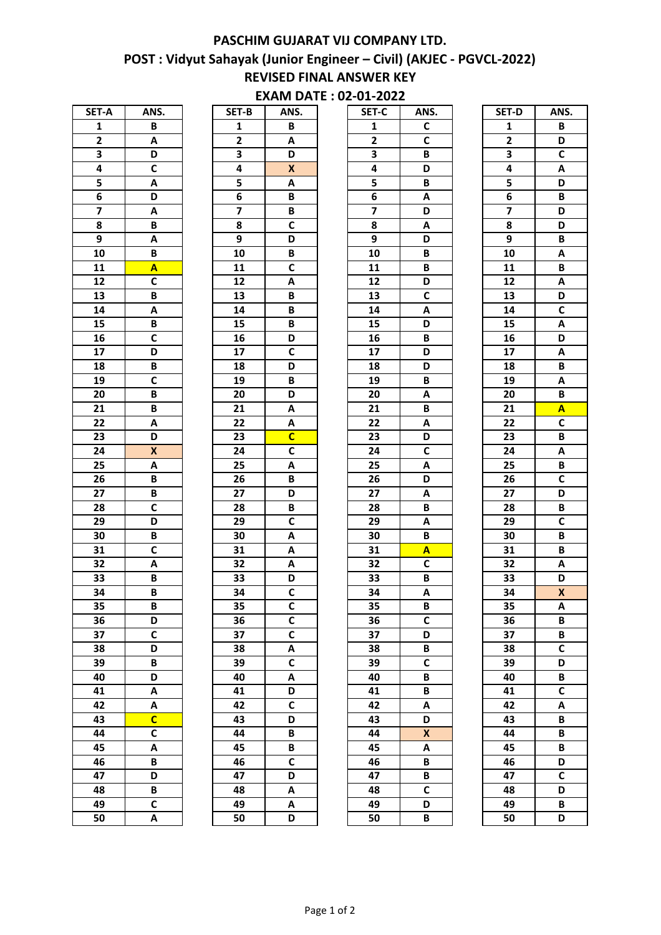## POST : Vidyut Sahayak (Junior Engineer – Civil) (AKJEC - PGVCL-2022) REVISED FINAL ANSWER KEY PASCHIM GUJARAT VIJ COMPANY LTD.

## EXAM DATE : 02-01-2022

| SET-A           | ANS.                    |
|-----------------|-------------------------|
| 1               | B                       |
| $\overline{2}$  | A                       |
| 3               | D                       |
| 4               | C                       |
| 5               | $\overline{\mathsf{A}}$ |
| 6               | D                       |
| 7               | A                       |
| 8               | B                       |
| 9               | A                       |
| 10              | B                       |
| $\overline{11}$ | Ā                       |
| $\overline{12}$ | $\overline{\mathsf{c}}$ |
| $\overline{13}$ | B                       |
| $\overline{14}$ | A                       |
| 15              | B                       |
| $\overline{16}$ | $\overline{\mathsf{c}}$ |
| 17              | D                       |
| 18              | B                       |
| 19              | $\overline{\mathsf{c}}$ |
| 20              | B                       |
| 21              | B                       |
| $\overline{22}$ | A                       |
| 23              | D                       |
| 24              | X                       |
| 25              | A                       |
| $\overline{26}$ | B                       |
| $\overline{27}$ | $\overline{\mathsf{B}}$ |
| 28              | $\overline{\mathsf{c}}$ |
| $\overline{29}$ |                         |
|                 | $\overline{\mathsf{D}}$ |
| 30              | B                       |
| 31              | C                       |
| 32              | A                       |
| 33              | B                       |
| 34              | В                       |
| 35              | Β                       |
| 36              | D                       |
| 37              | C                       |
| 38              | D                       |
| 39              | B                       |
| 40              | D                       |
| 41              | A                       |
| 42              | A                       |
| 43              | C                       |
| 44              | $\overline{\mathsf{c}}$ |
| 45              | A                       |
| 46              | B                       |
| 47              | D                       |
| 48              | B                       |
| 49              | C                       |
| 50              | A                       |

| SET-B           | ANS.                    |
|-----------------|-------------------------|
| 1               | B                       |
| $\overline{2}$  | Α                       |
| 3               | D                       |
| 4               | X                       |
| 5               | Α                       |
| 6               | B                       |
| 7               | B                       |
| 8               | $\overline{c}$          |
| 9               | D                       |
| 10              | B                       |
| $\overline{11}$ | $\overline{\mathbf{c}}$ |
| $\overline{12}$ | A                       |
| 13              | B                       |
| 14              | B                       |
| 15              | B                       |
| 16              | D                       |
| $\overline{17}$ | $\overline{\mathsf{c}}$ |
| 18              | D                       |
| 19              | B                       |
| 20              | D                       |
| 21              | A                       |
| 22              | Α                       |
| 23              | C                       |
| 24              | $\overline{\mathsf{c}}$ |
| 25              | A                       |
| 26              | B                       |
| 27              | D                       |
| 28              | B                       |
| 29              | C                       |
|                 | A                       |
| 30              |                         |
| 31              | Α                       |
| 32              | Α                       |
| 33              | D                       |
| 34              | $\overline{\mathsf{c}}$ |
| 35              | C                       |
| 36              | C                       |
| 37              | C                       |
| 38              | A                       |
| 39              | C                       |
| 40              | A                       |
| 41              | D                       |
| $\overline{42}$ | $\overline{\mathsf{c}}$ |
| $\overline{43}$ | D                       |
| 44              | B                       |
| 45              | B                       |
| 46              | C                       |
| 47              | D                       |
| 48              | A                       |
| 49              | A                       |
| 50              | D                       |

| SET-A                   | ANS.                      | SET-B                   | ANS.                    | SET-C                   | ANS.                    | SET-D                   | ANS.                    |
|-------------------------|---------------------------|-------------------------|-------------------------|-------------------------|-------------------------|-------------------------|-------------------------|
| $\mathbf{1}$            | B                         | 1                       | B                       | $\mathbf{1}$            | C                       | 1                       | В                       |
| $\mathbf{2}$            | Α                         | $\mathbf{2}$            | $\pmb{\mathsf{A}}$      | $\mathbf{2}$            | $\mathsf{C}$            | $\overline{2}$          | D                       |
| 3                       | D                         | 3                       | D                       | 3                       | В                       | $\overline{\mathbf{3}}$ | $\overline{c}$          |
| 4                       | C                         | 4                       | $\pmb{\mathsf{X}}$      | 4                       | D                       | 4                       | A                       |
| 5                       | А                         | 5                       | Α                       | 5                       | B                       | 5                       | D                       |
| 6                       | D                         | $\bf 6$                 | В                       | 6                       | A                       | $\overline{\mathbf{6}}$ | B                       |
| $\overline{\mathbf{z}}$ | Α                         | $\overline{\mathbf{z}}$ | В                       | $\overline{\mathbf{z}}$ | D                       | $\overline{\mathbf{z}}$ | D                       |
| 8                       | B                         | ${\bf 8}$               | $\mathsf{C}$            | 8                       | A                       | 8                       | D                       |
| 9                       | Α                         | $\boldsymbol{9}$        | D                       | $\boldsymbol{9}$        | D                       | 9                       | В                       |
| 10                      | B                         | 10                      | B                       | 10                      | B                       | 10                      | A                       |
| 11                      | A                         | 11                      | $\mathsf{C}$            | 11                      | B                       | 11                      | B                       |
| 12                      | C                         | 12                      | Α                       | 12                      | D                       | 12                      | Α                       |
| 13                      | B                         | 13                      | В                       | 13                      | C                       | 13                      | D                       |
| 14                      | Α                         | 14                      | В                       | 14                      | A                       | 14                      | $\overline{c}$          |
| 15                      | B                         | 15                      | В                       | 15                      | D                       | 15                      | Α                       |
| 16                      | C                         | 16                      | D                       | 16                      | B                       | 16                      | D                       |
| 17                      | D                         | 17                      | $\mathsf{C}$            | 17                      | D                       | 17                      | Α                       |
| 18                      | B                         | 18                      | D                       | 18                      | D                       | 18                      | B                       |
| 19                      | $\mathsf{C}$              | 19                      | B                       | 19                      | B                       | 19                      | Α                       |
| 20                      | B                         | 20                      | D                       | 20                      | A                       | 20                      | B                       |
| 21                      | B                         | 21                      | A                       | 21                      | B                       | 21                      | A                       |
| 22                      | Α                         | 22                      | A                       | 22                      | A                       | 22                      | $\overline{\mathsf{c}}$ |
| 23                      | D                         | 23                      | $\overline{c}$          | 23                      | D                       | 23                      | B                       |
| 24                      | $\boldsymbol{\mathsf{X}}$ | 24                      | $\overline{\mathsf{c}}$ | 24                      | $\overline{\mathsf{c}}$ | 24                      | A                       |
| 25                      | Α                         | 25                      | A                       | 25                      | A                       | 25                      | B                       |
| 26                      | B                         | 26                      | B                       | 26                      | D                       | 26                      | $\overline{\mathsf{c}}$ |
| 27                      | B                         | 27                      | D                       | 27                      | A                       | 27                      | D                       |
| 28                      | $\overline{\mathsf{c}}$   | 28                      | B                       | 28                      | B                       | 28                      | B                       |
| 29                      | D                         | 29                      | C                       | 29                      | Α                       | 29                      | $\mathsf{C}$            |
| 30                      | В                         | 30                      | Α                       | 30                      | B                       | 30                      | B                       |
| 31                      | $\mathsf{C}$              | 31                      | A                       | 31                      | $\overline{\mathsf{A}}$ | 31                      | B                       |
| 32                      | A                         | 32                      | Α                       | 32                      | $\mathbf c$             | 32                      | Α                       |
| 33                      | B                         | 33                      | D                       | 33                      | B                       | 33                      | D                       |
| 34                      | B                         | 34                      | $\overline{\mathsf{c}}$ | 34                      | Α                       | 34                      | $\boldsymbol{x}$        |
| 35                      | B                         | 35                      | $\mathsf{C}$            | 35                      | B                       | 35                      | Α                       |
| 36                      | D                         | 36                      | $\mathsf{C}$            | 36                      | $\mathbf c$             | 36                      | B                       |
| 37                      | C                         | 37                      | $\mathsf{C}$            | 37                      | D                       | 37                      | В                       |
| 38                      | D                         | 38                      | Α                       | 38                      | В                       | 38                      | $\mathsf{C}$            |
| 39                      | B                         | 39                      | $\mathsf{C}$            | 39                      | $\mathsf{C}$            | 39                      | D                       |
| 40                      | D                         | 40                      | Α                       | 40                      | B                       | 40                      | B                       |
| 41                      | А                         | 41                      | D                       | 41                      | B                       | 41                      | $\mathsf{C}$            |
| 42                      | А                         | 42                      | $\mathsf{C}$            | 42                      | Α                       | 42                      | Α                       |
| 43                      | $\overline{\mathsf{C}}$   | 43                      | D                       | 43                      | D                       | 43                      | B                       |
| 44                      | $\mathsf{C}$              | 44                      | В                       | 44                      | $\pmb{\mathsf{X}}$      | 44                      | B                       |
| 45                      | A                         | 45                      | B                       | 45                      | A                       | 45                      | B                       |
| 46                      | B                         | 46                      | $\mathsf{C}$            | 46                      | В                       | 46                      | D                       |
| 47                      | D                         | 47                      | D                       | 47                      | B<br>$\mathbf c$        | 47                      | $\mathsf{C}$            |
| 48<br>49                | B<br>$\mathbf c$          | 48<br>49                | Α                       | 48<br>49                | D                       | 48<br>49                | D                       |
|                         |                           |                         | A                       |                         |                         |                         | В                       |
| 50                      | Α                         | 50                      | D                       | 50                      | B                       | 50                      | D                       |

| SET-D           | ANS.                    |
|-----------------|-------------------------|
| 1               | B                       |
| $\overline{2}$  | D                       |
| 3               | $\overline{\mathbf{C}}$ |
| 4               | A                       |
| 5               | D                       |
| $\overline{6}$  | $\overline{B}$          |
| 7               | D                       |
| 8               | D                       |
| 9               | B                       |
| 10              | A                       |
| 11              | B                       |
| $\overline{12}$ | A                       |
| $\overline{13}$ | D                       |
| $\overline{14}$ | $\overline{\mathsf{c}}$ |
| 15              | A                       |
| 16              | D                       |
| 17              | A                       |
| 18              | B                       |
| 19              | A                       |
| $\overline{20}$ | B                       |
| 21              | $\overline{\mathsf{A}}$ |
| 22              | C                       |
| 23              | $\overline{\mathsf{B}}$ |
| $\overline{24}$ | $\overline{\mathbf{A}}$ |
| 25              | B                       |
| 26              | C                       |
| 27              | D                       |
| 28              | B                       |
| 29              | $\overline{\mathsf{c}}$ |
| 30              | B                       |
| 31              | B                       |
| 32              | A                       |
| 33              | D                       |
| 34              | X                       |
| 35              | Α                       |
| 36              | B                       |
| 37              | B                       |
| 38              | C                       |
| 39              | D                       |
| 40              | B                       |
| 41              | $\overline{\mathsf{c}}$ |
| 42              | A                       |
| 43              | B                       |
| 44              | B                       |
| 45              | B                       |
| 46              | D                       |
| 47              | $\overline{\mathsf{c}}$ |
| 48              | D                       |
| 49              | B                       |
| 50              | D                       |
|                 |                         |